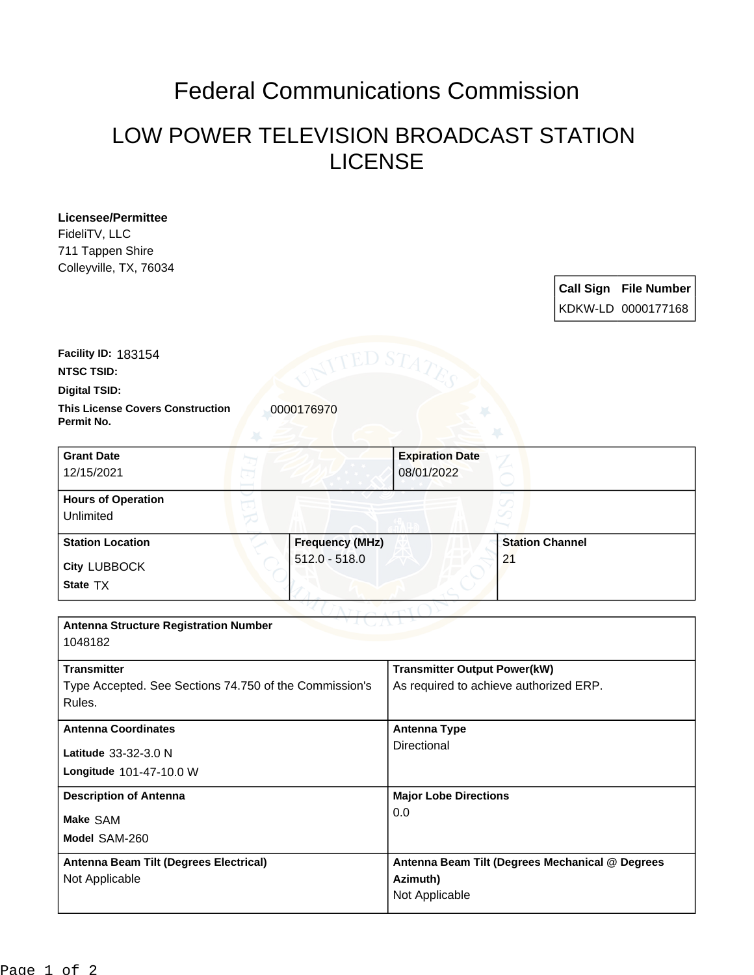## Federal Communications Commission

## LOW POWER TELEVISION BROADCAST STATION LICENSE

**Licensee/Permittee** FideliTV, LLC 711 Tappen Shire Colleyville, TX, 76034

|  | Call Sign File Number<br>KDKW-LD 0000177168 |
|--|---------------------------------------------|

**This License Covers Construction**  0000176970 **Permit No. Digital TSID: NTSC TSID: Facility ID:** 183154

| <b>Grant Date</b><br>12/15/2021        |                        | <b>Expiration Date</b><br>08/01/2022 |                        |  |
|----------------------------------------|------------------------|--------------------------------------|------------------------|--|
| <b>Hours of Operation</b><br>Unlimited |                        |                                      |                        |  |
| <b>Station Location</b>                | <b>Frequency (MHz)</b> |                                      | <b>Station Channel</b> |  |
| <b>City LUBBOCK</b><br>State TX        | $512.0 - 518.0$        |                                      | 2 <sup>1</sup>         |  |

| <b>Antenna Structure Registration Number</b>           |                                                 |  |  |  |  |  |
|--------------------------------------------------------|-------------------------------------------------|--|--|--|--|--|
| 1048182                                                |                                                 |  |  |  |  |  |
| <b>Transmitter</b>                                     | <b>Transmitter Output Power(kW)</b>             |  |  |  |  |  |
| Type Accepted. See Sections 74.750 of the Commission's | As required to achieve authorized ERP.          |  |  |  |  |  |
| Rules.                                                 |                                                 |  |  |  |  |  |
| <b>Antenna Coordinates</b>                             | Antenna Type                                    |  |  |  |  |  |
| Latitude 33-32-3.0 N                                   | Directional                                     |  |  |  |  |  |
| Longitude 101-47-10.0 W                                |                                                 |  |  |  |  |  |
| <b>Description of Antenna</b>                          | <b>Major Lobe Directions</b>                    |  |  |  |  |  |
| Make SAM                                               | 0.0                                             |  |  |  |  |  |
| Model SAM-260                                          |                                                 |  |  |  |  |  |
| Antenna Beam Tilt (Degrees Electrical)                 | Antenna Beam Tilt (Degrees Mechanical @ Degrees |  |  |  |  |  |
| Not Applicable                                         | Azimuth)                                        |  |  |  |  |  |
|                                                        | Not Applicable                                  |  |  |  |  |  |